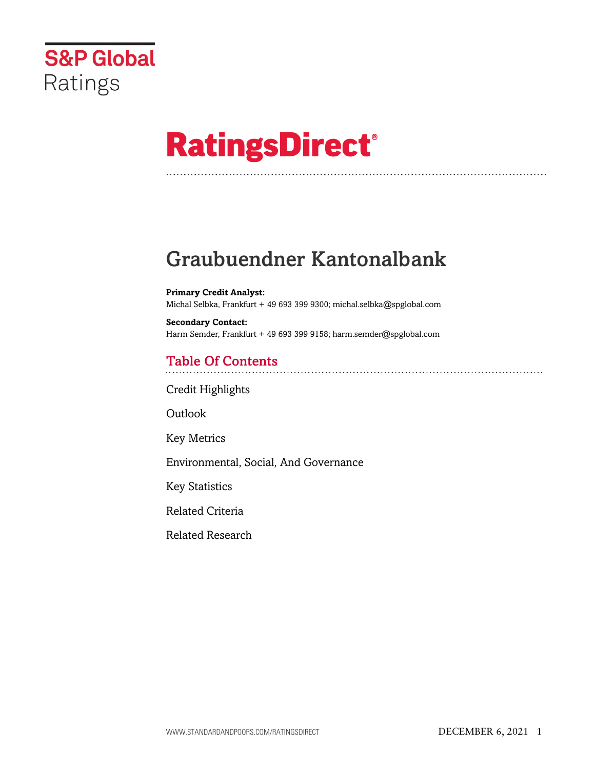

# **RatingsDirect®**

# Graubuendner Kantonalbank

**Primary Credit Analyst:** Michal Selbka, Frankfurt + 49 693 399 9300; michal.selbka@spglobal.com

**Secondary Contact:** Harm Semder, Frankfurt + 49 693 399 9158; harm.semder@spglobal.com

# Table Of Contents

[Credit Highlights](#page-1-0)

Outlook

[Key Metrics](#page-2-0)

[Environmental, Social, And Governance](#page-10-0)

[Key Statistics](#page-10-1)

[Related Criteria](#page-12-0)

[Related Research](#page-13-0)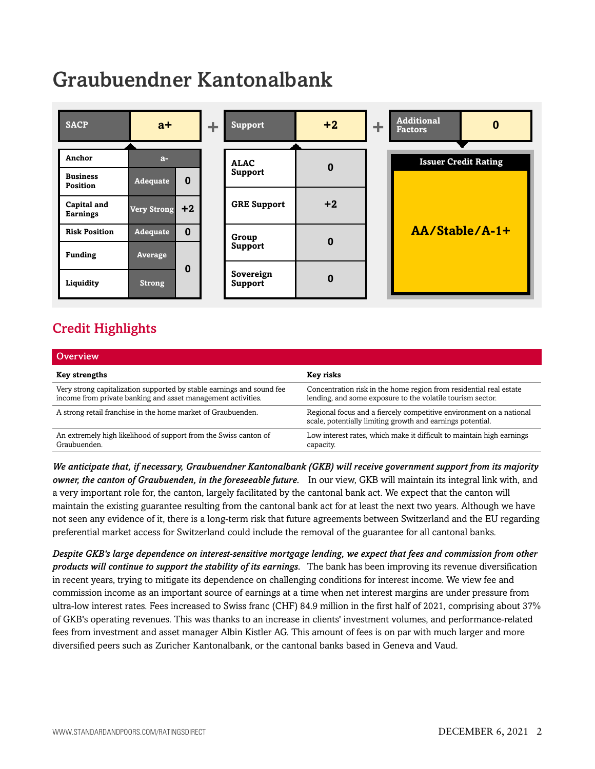# Graubuendner Kantonalbank



# <span id="page-1-0"></span>Credit Highlights

| <b>Overview</b>                                                                                                                       |                                                                                                                                   |
|---------------------------------------------------------------------------------------------------------------------------------------|-----------------------------------------------------------------------------------------------------------------------------------|
| Key strengths                                                                                                                         | Key risks                                                                                                                         |
| Very strong capitalization supported by stable earnings and sound fee<br>income from private banking and asset management activities. | Concentration risk in the home region from residential real estate<br>lending, and some exposure to the volatile tourism sector.  |
| A strong retail franchise in the home market of Graubuenden.                                                                          | Regional focus and a fiercely competitive environment on a national<br>scale, potentially limiting growth and earnings potential. |
| An extremely high likelihood of support from the Swiss canton of<br>Graubuenden.                                                      | Low interest rates, which make it difficult to maintain high earnings<br>capacity.                                                |

*We anticipate that, if necessary, Graubuendner Kantonalbank (GKB) will receive government support from its majority owner, the canton of Graubuenden, in the foreseeable future.* In our view, GKB will maintain its integral link with, and a very important role for, the canton, largely facilitated by the cantonal bank act. We expect that the canton will maintain the existing guarantee resulting from the cantonal bank act for at least the next two years. Although we have not seen any evidence of it, there is a long-term risk that future agreements between Switzerland and the EU regarding preferential market access for Switzerland could include the removal of the guarantee for all cantonal banks.

*Despite GKB's large dependence on interest-sensitive mortgage lending, we expect that fees and commission from other products will continue to support the stability of its earnings.* The bank has been improving its revenue diversification in recent years, trying to mitigate its dependence on challenging conditions for interest income. We view fee and commission income as an important source of earnings at a time when net interest margins are under pressure from ultra-low interest rates. Fees increased to Swiss franc (CHF) 84.9 million in the first half of 2021, comprising about 37% of GKB's operating revenues. This was thanks to an increase in clients' investment volumes, and performance-related fees from investment and asset manager Albin Kistler AG. This amount of fees is on par with much larger and more diversified peers such as Zuricher Kantonalbank, or the cantonal banks based in Geneva and Vaud.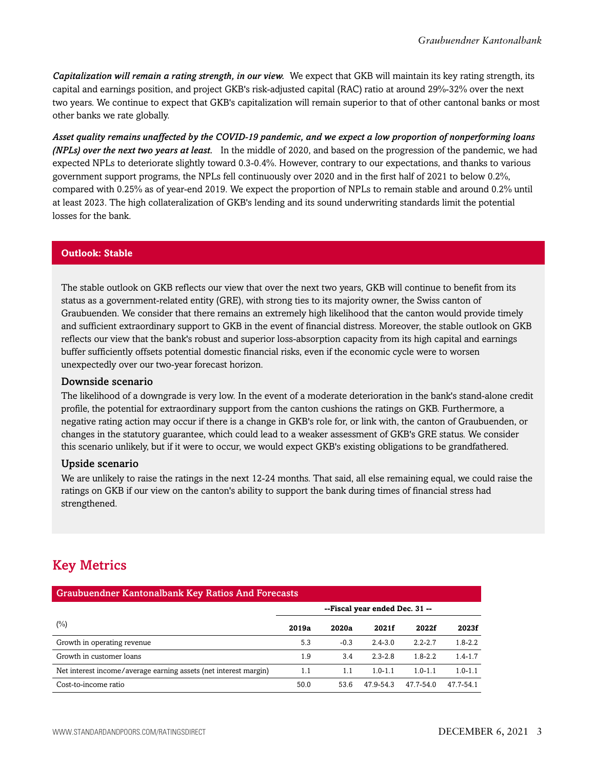*Capitalization will remain a rating strength, in our view.* We expect that GKB will maintain its key rating strength, its capital and earnings position, and project GKB's risk-adjusted capital (RAC) ratio at around 29%-32% over the next two years. We continue to expect that GKB's capitalization will remain superior to that of other cantonal banks or most other banks we rate globally.

*Asset quality remains unaffected by the COVID-19 pandemic, and we expect a low proportion of nonperforming loans (NPLs) over the next two years at least.* In the middle of 2020, and based on the progression of the pandemic, we had expected NPLs to deteriorate slightly toward 0.3-0.4%. However, contrary to our expectations, and thanks to various government support programs, the NPLs fell continuously over 2020 and in the first half of 2021 to below 0.2%, compared with 0.25% as of year-end 2019. We expect the proportion of NPLs to remain stable and around 0.2% until at least 2023. The high collateralization of GKB's lending and its sound underwriting standards limit the potential losses for the bank.

#### **Outlook: Stable**

The stable outlook on GKB reflects our view that over the next two years, GKB will continue to benefit from its status as a government-related entity (GRE), with strong ties to its majority owner, the Swiss canton of Graubuenden. We consider that there remains an extremely high likelihood that the canton would provide timely and sufficient extraordinary support to GKB in the event of financial distress. Moreover, the stable outlook on GKB reflects our view that the bank's robust and superior loss-absorption capacity from its high capital and earnings buffer sufficiently offsets potential domestic financial risks, even if the economic cycle were to worsen unexpectedly over our two-year forecast horizon.

#### Downside scenario

The likelihood of a downgrade is very low. In the event of a moderate deterioration in the bank's stand-alone credit profile, the potential for extraordinary support from the canton cushions the ratings on GKB. Furthermore, a negative rating action may occur if there is a change in GKB's role for, or link with, the canton of Graubuenden, or changes in the statutory guarantee, which could lead to a weaker assessment of GKB's GRE status. We consider this scenario unlikely, but if it were to occur, we would expect GKB's existing obligations to be grandfathered.

#### Upside scenario

We are unlikely to raise the ratings in the next 12-24 months. That said, all else remaining equal, we could raise the ratings on GKB if our view on the canton's ability to support the bank during times of financial stress had strengthened.

# <span id="page-2-0"></span>Key Metrics

| <b>Graubuendner Kantonalbank Key Ratios And Forecasts</b>        |                                |        |             |             |             |  |  |  |  |  |
|------------------------------------------------------------------|--------------------------------|--------|-------------|-------------|-------------|--|--|--|--|--|
|                                                                  | --Fiscal year ended Dec. 31 -- |        |             |             |             |  |  |  |  |  |
| (%)                                                              | 2019a                          | 2020a  | 2021f       | 2022f       | 2023f       |  |  |  |  |  |
| Growth in operating revenue                                      | 5.3                            | $-0.3$ | $2.4 - 3.0$ | $2.2 - 2.7$ | $1.8 - 2.2$ |  |  |  |  |  |
| Growth in customer loans                                         | 1.9                            | 3.4    | $2.3 - 2.8$ | $1.8 - 2.2$ | $1.4 - 1.7$ |  |  |  |  |  |
| Net interest income/average earning assets (net interest margin) | 1.1                            | 1.1    | $1.0 - 1.1$ | $1.0 - 1.1$ | $1.0 - 1.1$ |  |  |  |  |  |
| Cost-to-income ratio                                             | 50.0                           | 53.6   | 47.9-54.3   | 47.7-54.0   | 47.7-54.1   |  |  |  |  |  |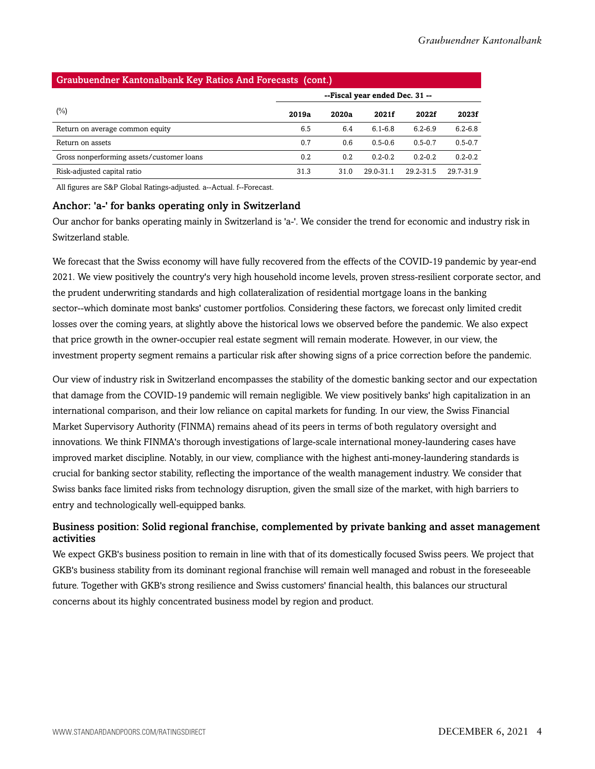| Graubuendner Kantonalbank Key Ratios And Forecasts (cont.) |                                |       |               |             |             |  |  |  |  |  |  |
|------------------------------------------------------------|--------------------------------|-------|---------------|-------------|-------------|--|--|--|--|--|--|
|                                                            | --Fiscal year ended Dec. 31 -- |       |               |             |             |  |  |  |  |  |  |
| $(\%)$                                                     | 2019a                          | 2020a | 2021f         | 2022f       | 2023f       |  |  |  |  |  |  |
| Return on average common equity                            | 6.5                            | 6.4   | $6.1 - 6.8$   | $6.2 - 6.9$ | $6.2 - 6.8$ |  |  |  |  |  |  |
| Return on assets                                           | 0.7                            | 0.6   | $0.5 - 0.6$   | $0.5 - 0.7$ | $0.5 - 0.7$ |  |  |  |  |  |  |
| Gross nonperforming assets/customer loans                  | 0.2                            | 0.2   | $0.2 - 0.2$   | $0.2 - 0.2$ | $0.2 - 0.2$ |  |  |  |  |  |  |
| Risk-adjusted capital ratio                                | 31.3                           | 31.0  | $29.0 - 31.1$ | 29.2-31.5   | 29.7-31.9   |  |  |  |  |  |  |

All figures are S&P Global Ratings-adjusted. a--Actual. f--Forecast.

#### Anchor: 'a-' for banks operating only in Switzerland

Our anchor for banks operating mainly in Switzerland is 'a-'. We consider the trend for economic and industry risk in Switzerland stable.

We forecast that the Swiss economy will have fully recovered from the effects of the COVID-19 pandemic by year-end 2021. We view positively the country's very high household income levels, proven stress-resilient corporate sector, and the prudent underwriting standards and high collateralization of residential mortgage loans in the banking sector--which dominate most banks' customer portfolios. Considering these factors, we forecast only limited credit losses over the coming years, at slightly above the historical lows we observed before the pandemic. We also expect that price growth in the owner-occupier real estate segment will remain moderate. However, in our view, the investment property segment remains a particular risk after showing signs of a price correction before the pandemic.

Our view of industry risk in Switzerland encompasses the stability of the domestic banking sector and our expectation that damage from the COVID-19 pandemic will remain negligible. We view positively banks' high capitalization in an international comparison, and their low reliance on capital markets for funding. In our view, the Swiss Financial Market Supervisory Authority (FINMA) remains ahead of its peers in terms of both regulatory oversight and innovations. We think FINMA's thorough investigations of large-scale international money-laundering cases have improved market discipline. Notably, in our view, compliance with the highest anti-money-laundering standards is crucial for banking sector stability, reflecting the importance of the wealth management industry. We consider that Swiss banks face limited risks from technology disruption, given the small size of the market, with high barriers to entry and technologically well-equipped banks.

#### Business position: Solid regional franchise, complemented by private banking and asset management activities

We expect GKB's business position to remain in line with that of its domestically focused Swiss peers. We project that GKB's business stability from its dominant regional franchise will remain well managed and robust in the foreseeable future. Together with GKB's strong resilience and Swiss customers' financial health, this balances our structural concerns about its highly concentrated business model by region and product.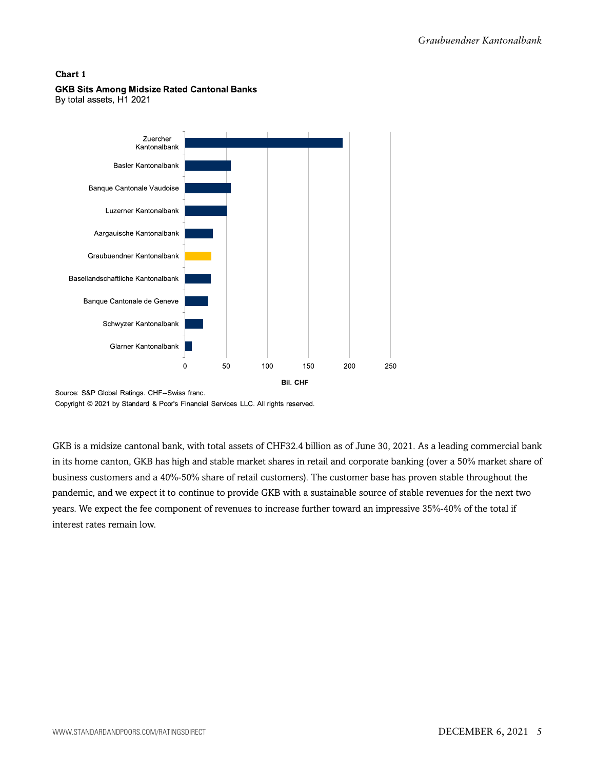

#### **GKB Sits Among Midsize Rated Cantonal Banks**

By total assets, H1 2021

Source: S&P Global Ratings. CHF--Swiss franc.

Copyright © 2021 by Standard & Poor's Financial Services LLC. All rights reserved.

GKB is a midsize cantonal bank, with total assets of CHF32.4 billion as of June 30, 2021. As a leading commercial bank in its home canton, GKB has high and stable market shares in retail and corporate banking (over a 50% market share of business customers and a 40%-50% share of retail customers). The customer base has proven stable throughout the pandemic, and we expect it to continue to provide GKB with a sustainable source of stable revenues for the next two years. We expect the fee component of revenues to increase further toward an impressive 35%-40% of the total if interest rates remain low.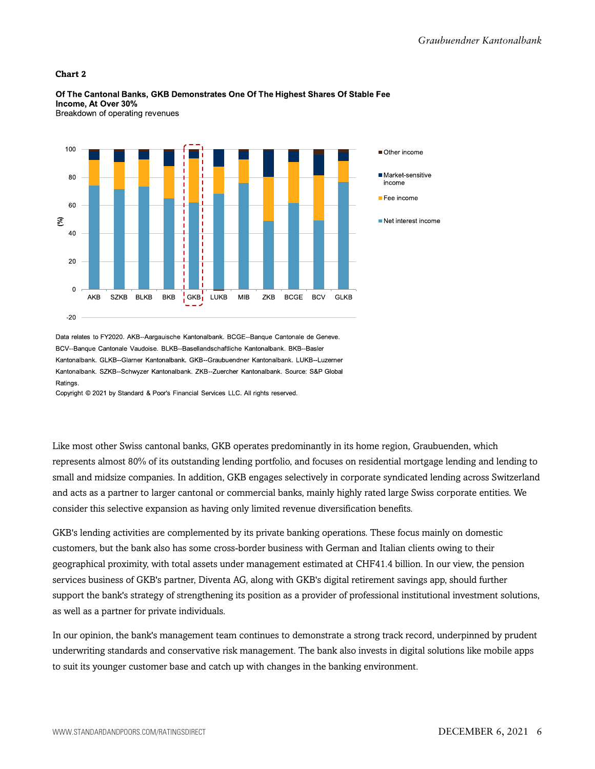

Of The Cantonal Banks, GKB Demonstrates One Of The Highest Shares Of Stable Fee Income, At Over 30% Breakdown of operating revenues

Data relates to FY2020. AKB--Aargauische Kantonalbank. BCGE--Banque Cantonale de Geneve. BCV--Banque Cantonale Vaudoise. BLKB--Basellandschaftliche Kantonalbank. BKB--Basler Kantonalbank, GLKB--Glarner Kantonalbank, GKB--Graubuendner Kantonalbank, LUKB--Luzerner Kantonalbank. SZKB--Schwyzer Kantonalbank. ZKB--Zuercher Kantonalbank. Source: S&P Global Ratings

Copyright © 2021 by Standard & Poor's Financial Services LLC. All rights reserved.

Like most other Swiss cantonal banks, GKB operates predominantly in its home region, Graubuenden, which represents almost 80% of its outstanding lending portfolio, and focuses on residential mortgage lending and lending to small and midsize companies. In addition, GKB engages selectively in corporate syndicated lending across Switzerland and acts as a partner to larger cantonal or commercial banks, mainly highly rated large Swiss corporate entities. We consider this selective expansion as having only limited revenue diversification benefits.

GKB's lending activities are complemented by its private banking operations. These focus mainly on domestic customers, but the bank also has some cross-border business with German and Italian clients owing to their geographical proximity, with total assets under management estimated at CHF41.4 billion. In our view, the pension services business of GKB's partner, Diventa AG, along with GKB's digital retirement savings app, should further support the bank's strategy of strengthening its position as a provider of professional institutional investment solutions, as well as a partner for private individuals.

In our opinion, the bank's management team continues to demonstrate a strong track record, underpinned by prudent underwriting standards and conservative risk management. The bank also invests in digital solutions like mobile apps to suit its younger customer base and catch up with changes in the banking environment.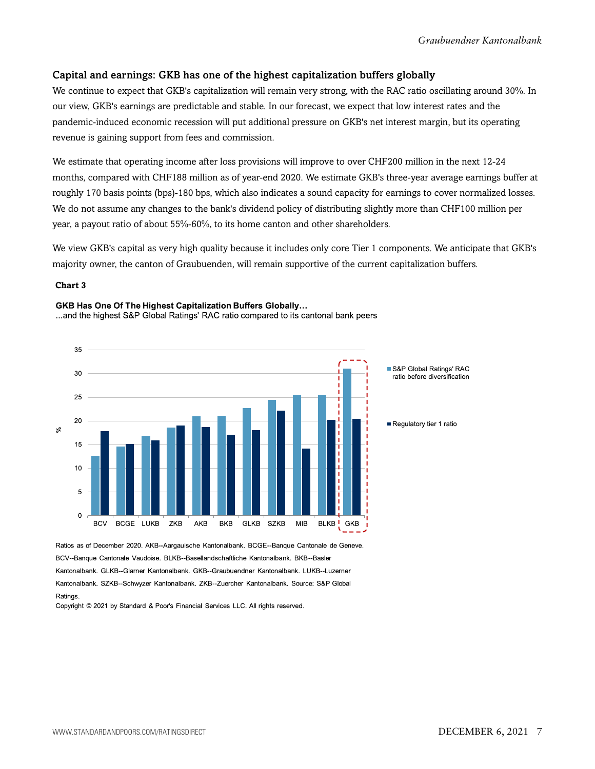#### Capital and earnings: GKB has one of the highest capitalization buffers globally

We continue to expect that GKB's capitalization will remain very strong, with the RAC ratio oscillating around 30%. In our view, GKB's earnings are predictable and stable. In our forecast, we expect that low interest rates and the pandemic-induced economic recession will put additional pressure on GKB's net interest margin, but its operating revenue is gaining support from fees and commission.

We estimate that operating income after loss provisions will improve to over CHF200 million in the next 12-24 months, compared with CHF188 million as of year-end 2020. We estimate GKB's three-year average earnings buffer at roughly 170 basis points (bps)-180 bps, which also indicates a sound capacity for earnings to cover normalized losses. We do not assume any changes to the bank's dividend policy of distributing slightly more than CHF100 million per year, a payout ratio of about 55%-60%, to its home canton and other shareholders.

We view GKB's capital as very high quality because it includes only core Tier 1 components. We anticipate that GKB's majority owner, the canton of Graubuenden, will remain supportive of the current capitalization buffers.

#### **Chart 3**

#### GKB Has One Of The Highest Capitalization Buffers Globally...

...and the highest S&P Global Ratings' RAC ratio compared to its cantonal bank peers





Ratios as of December 2020. AKB--Aargauische Kantonalbank. BCGE--Banque Cantonale de Geneve. BCV--Banque Cantonale Vaudoise. BLKB--Basellandschaftliche Kantonalbank. BKB--Basler Kantonalbank. GLKB--Glarner Kantonalbank. GKB--Graubuendner Kantonalbank. LUKB--Luzerner Kantonalbank. SZKB--Schwyzer Kantonalbank. ZKB--Zuercher Kantonalbank. Source: S&P Global **Ratings** 

Copyright © 2021 by Standard & Poor's Financial Services LLC. All rights reserved.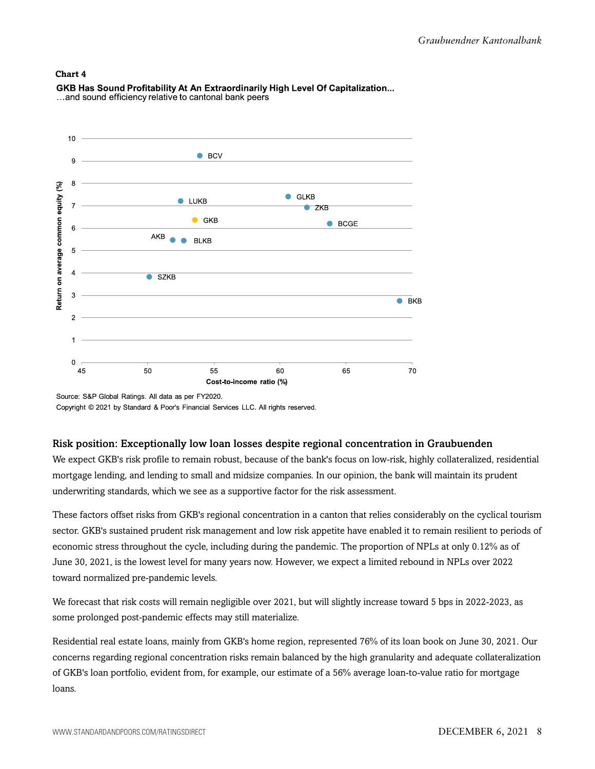

GKB Has Sound Profitability At An Extraordinarily High Level Of Capitalization... ...and sound efficiency relative to cantonal bank peers

#### Risk position: Exceptionally low loan losses despite regional concentration in Graubuenden

We expect GKB's risk profile to remain robust, because of the bank's focus on low-risk, highly collateralized, residential mortgage lending, and lending to small and midsize companies. In our opinion, the bank will maintain its prudent underwriting standards, which we see as a supportive factor for the risk assessment.

These factors offset risks from GKB's regional concentration in a canton that relies considerably on the cyclical tourism sector. GKB's sustained prudent risk management and low risk appetite have enabled it to remain resilient to periods of economic stress throughout the cycle, including during the pandemic. The proportion of NPLs at only 0.12% as of June 30, 2021, is the lowest level for many years now. However, we expect a limited rebound in NPLs over 2022 toward normalized pre-pandemic levels.

We forecast that risk costs will remain negligible over 2021, but will slightly increase toward 5 bps in 2022-2023, as some prolonged post-pandemic effects may still materialize.

Residential real estate loans, mainly from GKB's home region, represented 76% of its loan book on June 30, 2021. Our concerns regarding regional concentration risks remain balanced by the high granularity and adequate collateralization of GKB's loan portfolio, evident from, for example, our estimate of a 56% average loan-to-value ratio for mortgage loans.

Source: S&P Global Ratings. All data as per FY2020. Copyright © 2021 by Standard & Poor's Financial Services LLC. All rights reserved.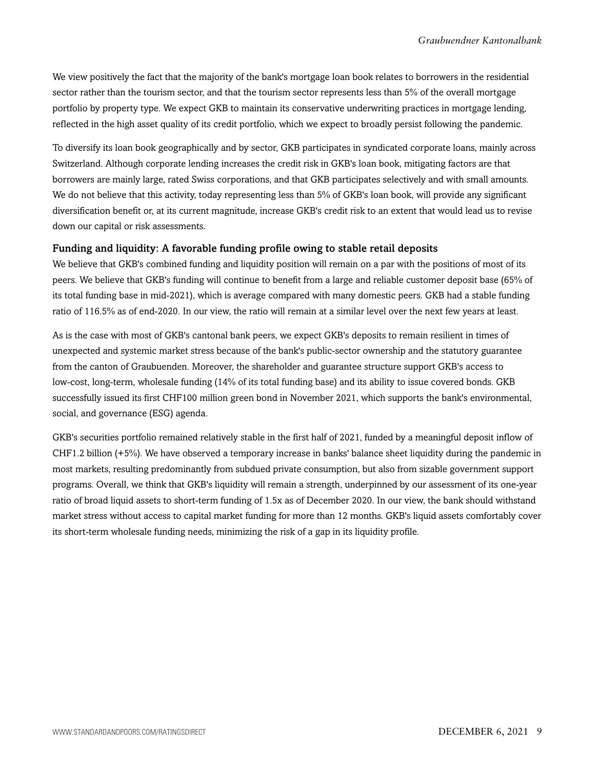We view positively the fact that the majority of the bank's mortgage loan book relates to borrowers in the residential sector rather than the tourism sector, and that the tourism sector represents less than 5% of the overall mortgage portfolio by property type. We expect GKB to maintain its conservative underwriting practices in mortgage lending, reflected in the high asset quality of its credit portfolio, which we expect to broadly persist following the pandemic.

To diversify its loan book geographically and by sector, GKB participates in syndicated corporate loans, mainly across Switzerland. Although corporate lending increases the credit risk in GKB's loan book, mitigating factors are that borrowers are mainly large, rated Swiss corporations, and that GKB participates selectively and with small amounts. We do not believe that this activity, today representing less than 5% of GKB's loan book, will provide any significant diversification benefit or, at its current magnitude, increase GKB's credit risk to an extent that would lead us to revise down our capital or risk assessments.

#### Funding and liquidity: A favorable funding profile owing to stable retail deposits

We believe that GKB's combined funding and liquidity position will remain on a par with the positions of most of its peers. We believe that GKB's funding will continue to benefit from a large and reliable customer deposit base (65% of its total funding base in mid-2021), which is average compared with many domestic peers. GKB had a stable funding ratio of 116.5% as of end-2020. In our view, the ratio will remain at a similar level over the next few years at least.

As is the case with most of GKB's cantonal bank peers, we expect GKB's deposits to remain resilient in times of unexpected and systemic market stress because of the bank's public-sector ownership and the statutory guarantee from the canton of Graubuenden. Moreover, the shareholder and guarantee structure support GKB's access to low-cost, long-term, wholesale funding (14% of its total funding base) and its ability to issue covered bonds. GKB successfully issued its first CHF100 million green bond in November 2021, which supports the bank's environmental, social, and governance (ESG) agenda.

GKB's securities portfolio remained relatively stable in the first half of 2021, funded by a meaningful deposit inflow of CHF1.2 billion (+5%). We have observed a temporary increase in banks' balance sheet liquidity during the pandemic in most markets, resulting predominantly from subdued private consumption, but also from sizable government support programs. Overall, we think that GKB's liquidity will remain a strength, underpinned by our assessment of its one-year ratio of broad liquid assets to short-term funding of 1.5x as of December 2020. In our view, the bank should withstand market stress without access to capital market funding for more than 12 months. GKB's liquid assets comfortably cover its short-term wholesale funding needs, minimizing the risk of a gap in its liquidity profile.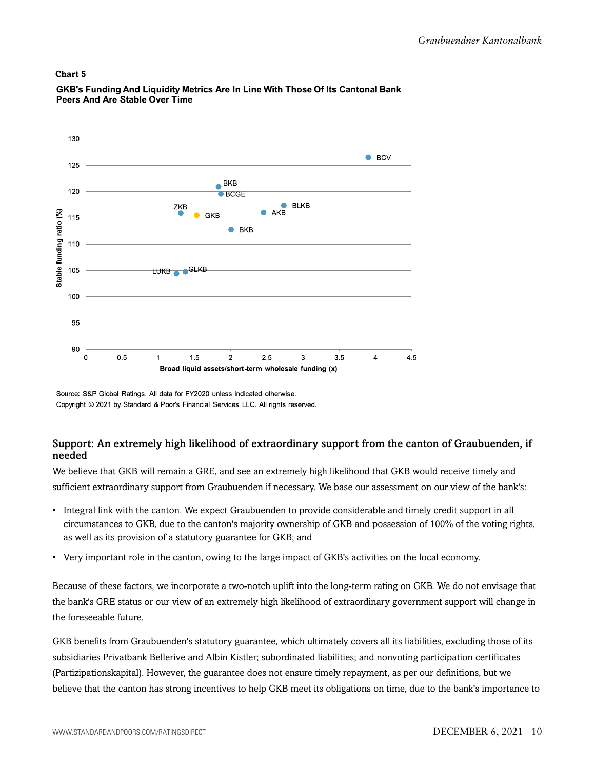

GKB's Funding And Liquidity Metrics Are In Line With Those Of Its Cantonal Bank Peers And Are Stable Over Time

Source: S&P Global Ratings. All data for FY2020 unless indicated otherwise. Copyright © 2021 by Standard & Poor's Financial Services LLC. All rights reserved.

#### Support: An extremely high likelihood of extraordinary support from the canton of Graubuenden, if needed

We believe that GKB will remain a GRE, and see an extremely high likelihood that GKB would receive timely and sufficient extraordinary support from Graubuenden if necessary. We base our assessment on our view of the bank's:

- Integral link with the canton. We expect Graubuenden to provide considerable and timely credit support in all circumstances to GKB, due to the canton's majority ownership of GKB and possession of 100% of the voting rights, as well as its provision of a statutory guarantee for GKB; and
- Very important role in the canton, owing to the large impact of GKB's activities on the local economy.

Because of these factors, we incorporate a two-notch uplift into the long-term rating on GKB. We do not envisage that the bank's GRE status or our view of an extremely high likelihood of extraordinary government support will change in the foreseeable future.

GKB benefits from Graubuenden's statutory guarantee, which ultimately covers all its liabilities, excluding those of its subsidiaries Privatbank Bellerive and Albin Kistler; subordinated liabilities; and nonvoting participation certificates (Partizipationskapital). However, the guarantee does not ensure timely repayment, as per our definitions, but we believe that the canton has strong incentives to help GKB meet its obligations on time, due to the bank's importance to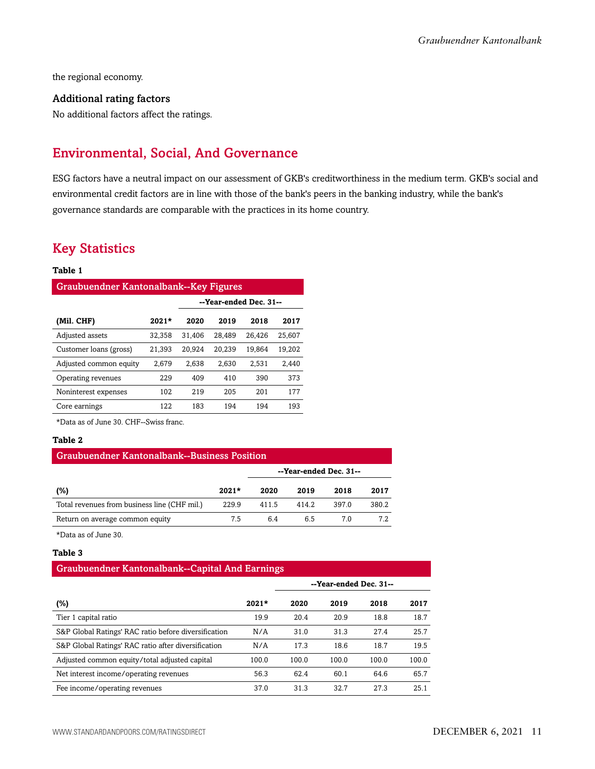the regional economy.

#### Additional rating factors

<span id="page-10-0"></span>No additional factors affect the ratings.

## Environmental, Social, And Governance

ESG factors have a neutral impact on our assessment of GKB's creditworthiness in the medium term. GKB's social and environmental credit factors are in line with those of the bank's peers in the banking industry, while the bank's governance standards are comparable with the practices in its home country.

### <span id="page-10-1"></span>Key Statistics

#### **Table 1**

| <b>Graubuendner Kantonalbank--Key Figures</b> |         |                        |        |        |        |  |  |  |  |  |  |  |
|-----------------------------------------------|---------|------------------------|--------|--------|--------|--|--|--|--|--|--|--|
|                                               |         | --Year-ended Dec. 31-- |        |        |        |  |  |  |  |  |  |  |
| (Mil. CHF)                                    | $2021*$ | 2020                   | 2019   | 2018   | 2017   |  |  |  |  |  |  |  |
| Adjusted assets                               | 32,358  | 31,406                 | 28,489 | 26,426 | 25.607 |  |  |  |  |  |  |  |
| Customer loans (gross)                        | 21,393  | 20,924                 | 20,239 | 19,864 | 19.202 |  |  |  |  |  |  |  |
| Adjusted common equity                        | 2,679   | 2,638                  | 2.630  | 2,531  | 2,440  |  |  |  |  |  |  |  |
| Operating revenues                            | 229     | 409                    | 410    | 390    | 373    |  |  |  |  |  |  |  |
| Noninterest expenses                          | 102     | 219                    | 205    | 201    | 177    |  |  |  |  |  |  |  |
| Core earnings                                 | 122     | 183                    | 194    | 194    | 193    |  |  |  |  |  |  |  |

\*Data as of June 30. CHF--Swiss franc.

#### **Table 2**

| <b>Graubuendner Kantonalbank--Business Position</b> |         |                        |       |       |       |  |  |  |  |  |  |
|-----------------------------------------------------|---------|------------------------|-------|-------|-------|--|--|--|--|--|--|
|                                                     |         | --Year-ended Dec. 31-- |       |       |       |  |  |  |  |  |  |
| (%)                                                 | $2021*$ | 2020                   | 2019  | 2018  | 2017  |  |  |  |  |  |  |
| Total revenues from business line (CHF mil.)        | 229.9   | 411.5                  | 414.2 | 397.0 | 380.2 |  |  |  |  |  |  |
| Return on average common equity                     | 7.5     | 6.4                    | 6.5   | 70    | 7.2   |  |  |  |  |  |  |

\*Data as of June 30.

#### **Table 3**

#### Graubuendner Kantonalbank--Capital And Earnings

|                                                      |         | --Year-ended Dec. 31-- |       |       |       |
|------------------------------------------------------|---------|------------------------|-------|-------|-------|
| (%)                                                  | $2021*$ | 2020                   | 2019  | 2018  | 2017  |
| Tier 1 capital ratio                                 | 19.9    | 20.4                   | 20.9  | 18.8  | 18.7  |
| S&P Global Ratings' RAC ratio before diversification | N/A     | 31.0                   | 31.3  | 27.4  | 25.7  |
| S&P Global Ratings' RAC ratio after diversification  | N/A     | 17.3                   | 18.6  | 18.7  | 19.5  |
| Adjusted common equity/total adjusted capital        | 100.0   | 100.0                  | 100.0 | 100.0 | 100.0 |
| Net interest income/operating revenues               | 56.3    | 62.4                   | 60.1  | 64.6  | 65.7  |
| Fee income/operating revenues                        | 37.0    | 31.3                   | 32.7  | 27.3  | 25.1  |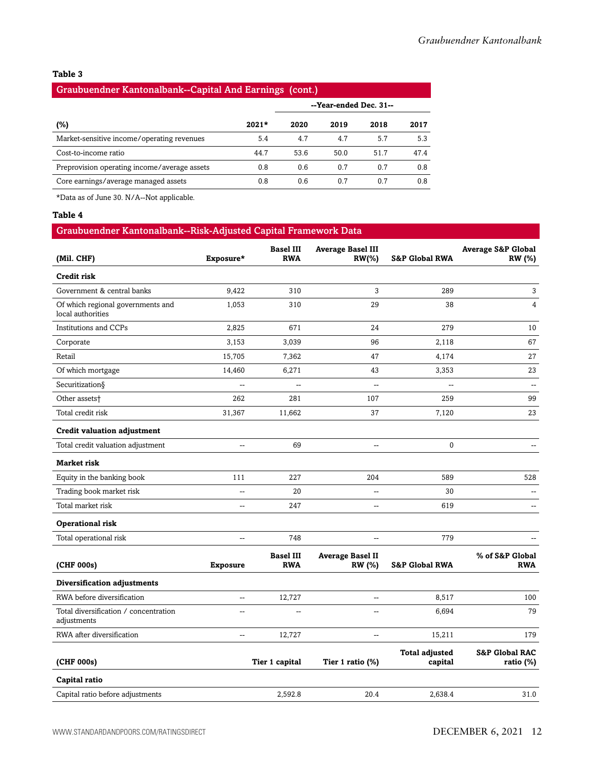#### **Table 3**

#### Graubuendner Kantonalbank--Capital And Earnings (cont.)

|                                              |         | --Year-ended Dec. 31-- |      |      |      |
|----------------------------------------------|---------|------------------------|------|------|------|
| (%)                                          | $2021*$ | 2020                   | 2019 | 2018 | 2017 |
| Market-sensitive income/operating revenues   | 5.4     | 4.7                    | 4.7  | 5.7  | 5.3  |
| Cost-to-income ratio                         | 44.7    | 53.6                   | 50.0 | 51.7 | 47.4 |
| Preprovision operating income/average assets | 0.8     | 0.6                    | 0.7  | 0.7  | 0.8  |
| Core earnings/average managed assets         | 0.8     | 0.6                    | 0.7  | 0.7  | 0.8  |

\*Data as of June 30. N/A--Not applicable.

#### **Table 4**

#### Graubuendner Kantonalbank--Risk-Adjusted Capital Framework Data

| (Mil. CHF)                                             | Exposure*                | <b>Basel III</b><br><b>RWA</b> | <b>Average Basel III</b><br>$RW(\% )$    | <b>S&amp;P Global RWA</b>        | <b>Average S&amp;P Global</b><br>RW (%)   |
|--------------------------------------------------------|--------------------------|--------------------------------|------------------------------------------|----------------------------------|-------------------------------------------|
| <b>Credit risk</b>                                     |                          |                                |                                          |                                  |                                           |
| Government & central banks                             | 9,422                    | 310                            | 3                                        | 289                              | $\mathbf{3}$                              |
| Of which regional governments and<br>local authorities | 1,053                    | 310                            | 29                                       | 38                               | $\overline{4}$                            |
| <b>Institutions and CCPs</b>                           | 2,825                    | 671                            | 24                                       | 279                              | 10                                        |
| Corporate                                              | 3,153                    | 3,039                          | 96                                       | 2,118                            | 67                                        |
| Retail                                                 | 15,705                   | 7,362                          | 47                                       | 4.174                            | 27                                        |
| Of which mortgage                                      | 14,460                   | 6,271                          | 43                                       | 3,353                            | 23                                        |
| Securitization§                                        | Ξ.                       | $\overline{a}$                 | $\overline{a}$                           | $\overline{a}$                   | $\overline{a}$                            |
| Other assets <sup>+</sup>                              | 262                      | 281                            | 107                                      | 259                              | 99                                        |
| Total credit risk                                      | 31,367                   | 11,662                         | 37                                       | 7,120                            | 23                                        |
| <b>Credit valuation adjustment</b>                     |                          |                                |                                          |                                  |                                           |
| Total credit valuation adjustment                      | --                       | 69                             | --                                       | 0                                | --                                        |
| <b>Market risk</b>                                     |                          |                                |                                          |                                  |                                           |
| Equity in the banking book                             | 111                      | 227                            | 204                                      | 589                              | 528                                       |
| Trading book market risk                               | --                       | 20                             | $\overline{\phantom{a}}$                 | 30                               |                                           |
| Total market risk                                      | Ξ.                       | 247                            | $\overline{a}$                           | 619                              | $\overline{a}$                            |
| Operational risk                                       |                          |                                |                                          |                                  |                                           |
| Total operational risk                                 | --                       | 748                            | $\overline{\phantom{a}}$                 | 779                              |                                           |
| (CHF 000s)                                             | <b>Exposure</b>          | <b>Basel III</b><br><b>RWA</b> | <b>Average Basel II</b><br><b>RW</b> (%) | <b>S&amp;P Global RWA</b>        | % of S&P Global<br><b>RWA</b>             |
| Diversification adjustments                            |                          |                                |                                          |                                  |                                           |
| RWA before diversification                             | --                       | 12,727                         | $\overline{\phantom{a}}$                 | 8,517                            | 100                                       |
| Total diversification / concentration<br>adjustments   | $\overline{\phantom{a}}$ | Щ,                             | $\overline{a}$                           | 6,694                            | 79                                        |
| RWA after diversification                              | $\overline{\phantom{a}}$ | 12,727                         | $\overline{\phantom{a}}$                 | 15,211                           | 179                                       |
| (CHF 000s)                                             |                          | Tier 1 capital                 | Tier 1 ratio (%)                         | <b>Total adjusted</b><br>capital | <b>S&amp;P Global RAC</b><br>ratio $(\%)$ |
| Capital ratio                                          |                          |                                |                                          |                                  |                                           |
| Capital ratio before adjustments                       |                          | 2,592.8                        | 20.4                                     | 2,638.4                          | 31.0                                      |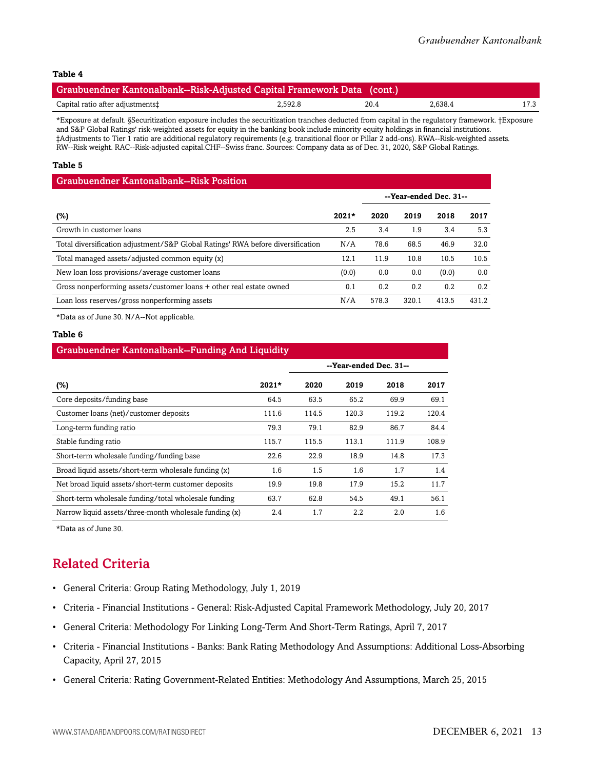#### **Table 4**

| Graubuendner Kantonalbank--Risk-Adjusted Capital Framework Data (cont.) |         |      |         |      |
|-------------------------------------------------------------------------|---------|------|---------|------|
| Capital ratio after adjustments‡                                        | 2,592.8 | 20.4 | 2.638.4 | 17.3 |

\*Exposure at default. §Securitization exposure includes the securitization tranches deducted from capital in the regulatory framework. †Exposure and S&P Global Ratings' risk-weighted assets for equity in the banking book include minority equity holdings in financial institutions. ‡Adjustments to Tier 1 ratio are additional regulatory requirements (e.g. transitional floor or Pillar 2 add-ons). RWA--Risk-weighted assets. RW--Risk weight. RAC--Risk-adjusted capital.CHF--Swiss franc. Sources: Company data as of Dec. 31, 2020, S&P Global Ratings.

#### **Table 5**

| <b>Graubuendner Kantonalbank--Risk Position</b>                                 |         |       |                        |       |       |  |  |  |  |  |  |
|---------------------------------------------------------------------------------|---------|-------|------------------------|-------|-------|--|--|--|--|--|--|
|                                                                                 |         |       | --Year-ended Dec. 31-- |       |       |  |  |  |  |  |  |
| $(\%)$                                                                          | $2021*$ | 2020  | 2019                   | 2018  | 2017  |  |  |  |  |  |  |
| Growth in customer loans                                                        | 2.5     | 3.4   | 1.9                    | 3.4   | 5.3   |  |  |  |  |  |  |
| Total diversification adjustment/S&P Global Ratings' RWA before diversification | N/A     | 78.6  | 68.5                   | 46.9  | 32.0  |  |  |  |  |  |  |
| Total managed assets/adjusted common equity (x)                                 | 12.1    | 11.9  | 10.8                   | 10.5  | 10.5  |  |  |  |  |  |  |
| New loan loss provisions/average customer loans                                 | (0.0)   | 0.0   | 0.0                    | (0.0) | 0.0   |  |  |  |  |  |  |
| Gross nonperforming assets/customer loans + other real estate owned             | 0.1     | 0.2   | 0.2                    | 0.2   | 0.2   |  |  |  |  |  |  |
| Loan loss reserves/gross nonperforming assets                                   | N/A     | 578.3 | 320.1                  | 413.5 | 431.2 |  |  |  |  |  |  |

\*Data as of June 30. N/A--Not applicable.

#### **Table 6**

| <b>Graubuendner Kantonalbank--Funding And Liquidity</b> |         |                        |       |       |       |  |  |  |  |  |  |
|---------------------------------------------------------|---------|------------------------|-------|-------|-------|--|--|--|--|--|--|
|                                                         |         | --Year-ended Dec. 31-- |       |       |       |  |  |  |  |  |  |
| (%)                                                     | $2021*$ | 2020                   | 2019  | 2018  | 2017  |  |  |  |  |  |  |
| Core deposits/funding base                              | 64.5    | 63.5                   | 65.2  | 69.9  | 69.1  |  |  |  |  |  |  |
| Customer loans (net)/customer deposits                  | 111.6   | 114.5                  | 120.3 | 119.2 | 120.4 |  |  |  |  |  |  |
| Long-term funding ratio                                 | 79.3    | 79.1                   | 82.9  | 86.7  | 84.4  |  |  |  |  |  |  |
| Stable funding ratio                                    | 115.7   | 115.5                  | 113.1 | 111.9 | 108.9 |  |  |  |  |  |  |
| Short-term wholesale funding/funding base               | 22.6    | 22.9                   | 18.9  | 14.8  | 17.3  |  |  |  |  |  |  |
| Broad liquid assets/short-term wholesale funding (x)    | 1.6     | 1.5                    | 1.6   | 1.7   | 1.4   |  |  |  |  |  |  |
| Net broad liquid assets/short-term customer deposits    | 19.9    | 19.8                   | 17.9  | 15.2  | 11.7  |  |  |  |  |  |  |
| Short-term wholesale funding/total wholesale funding    | 63.7    | 62.8                   | 54.5  | 49.1  | 56.1  |  |  |  |  |  |  |
| Narrow liquid assets/three-month wholesale funding (x)  | 2.4     | 1.7                    | 2.2   | 2.0   | 1.6   |  |  |  |  |  |  |

<span id="page-12-0"></span>\*Data as of June 30.

### Related Criteria

- General Criteria: Group Rating Methodology, July 1, 2019
- Criteria Financial Institutions General: Risk-Adjusted Capital Framework Methodology, July 20, 2017
- General Criteria: Methodology For Linking Long-Term And Short-Term Ratings, April 7, 2017
- Criteria Financial Institutions Banks: Bank Rating Methodology And Assumptions: Additional Loss-Absorbing Capacity, April 27, 2015
- General Criteria: Rating Government-Related Entities: Methodology And Assumptions, March 25, 2015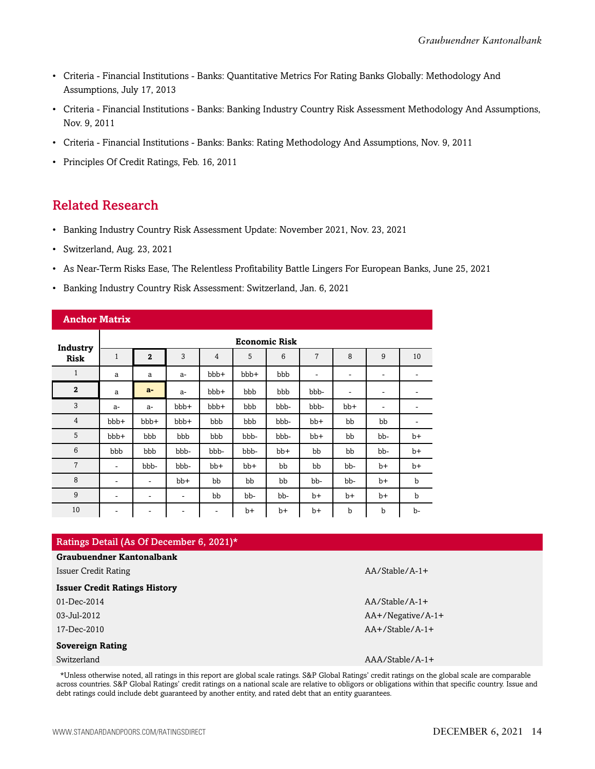- Criteria Financial Institutions Banks: Quantitative Metrics For Rating Banks Globally: Methodology And Assumptions, July 17, 2013
- Criteria Financial Institutions Banks: Banking Industry Country Risk Assessment Methodology And Assumptions, Nov. 9, 2011
- Criteria Financial Institutions Banks: Banks: Rating Methodology And Assumptions, Nov. 9, 2011
- Principles Of Credit Ratings, Feb. 16, 2011

### <span id="page-13-0"></span>Related Research

- Banking Industry Country Risk Assessment Update: November 2021, Nov. 23, 2021
- Switzerland, Aug. 23, 2021
- As Near-Term Risks Ease, The Relentless Profitability Battle Lingers For European Banks, June 25, 2021
- Banking Industry Country Risk Assessment: Switzerland, Jan. 6, 2021

| <b>Anchor Matrix</b> |              |                              |                          |                          |      |       |                |                          |                          |             |  |  |  |
|----------------------|--------------|------------------------------|--------------------------|--------------------------|------|-------|----------------|--------------------------|--------------------------|-------------|--|--|--|
| Industry             |              | <b>Economic Risk</b>         |                          |                          |      |       |                |                          |                          |             |  |  |  |
| <b>Risk</b>          | $\mathbf{1}$ | $\overline{2}$               | 3                        | $\overline{4}$           | 5    | 6     | $\overline{7}$ | 8                        | 9                        | 10          |  |  |  |
| $\mathbf{1}$         | a            | a                            | $a-$                     | bbb+                     | bbb+ | bbb   | -              | $\overline{\phantom{a}}$ | $\overline{\phantom{0}}$ | -           |  |  |  |
| $\mathbf{2}$         | a            | $a-$                         | a-                       | bbb+                     | bbb  | bbb   | bbb-           | $\overline{\phantom{a}}$ | $\overline{\phantom{a}}$ | ۰           |  |  |  |
| 3                    | $a-$         | $a-$                         | bbb+                     | bbb+                     | bbb  | bbb-  | bbb-           | bb+                      | -                        | -           |  |  |  |
| $\overline{4}$       | bbb+         | bbb+                         | bbb+                     | bbb                      | bbb  | bbb-  | $bb+$          | bb                       | bb                       | -           |  |  |  |
| 5                    | bbb+         | bbb                          | bbb                      | bbb                      | bbb- | bbb-  | $bb+$          | bb                       | bb-                      | $b+$        |  |  |  |
| $\,6\,$              | bbb          | bbb                          | bbb-                     | bbb-                     | bbb- | $bb+$ | bb             | bb                       | bb-                      | $b+$        |  |  |  |
| $\overline{7}$       | -            | bbb-                         | bbb-                     | $bb+$                    | bb+  | bb    | bb             | bb-                      | b+                       | $b+$        |  |  |  |
| 8                    | ٠            | $\overline{\phantom{m}}$     | bb+                      | bb                       | bb   | bb    | bb-            | bb-                      | $b+$                     | b           |  |  |  |
| 9                    | -            | $\overline{\phantom{a}}$     | $\overline{\phantom{a}}$ | bb                       | bb-  | bb-   | $b+$           | $b+$                     | $b+$                     | $\mathbf b$ |  |  |  |
| 10                   | ۰            | $\qquad \qquad \blacksquare$ | ۰                        | $\overline{\phantom{a}}$ | $b+$ | $b+$  | $b+$           | $\mathbf b$              | b                        | b-          |  |  |  |

| Ratings Detail (As Of December 6, 2021)* |                      |
|------------------------------------------|----------------------|
| <b>Graubuendner Kantonalbank</b>         |                      |
| Issuer Credit Rating                     | $AA/Stable/A-1+$     |
| <b>Issuer Credit Ratings History</b>     |                      |
| $01 - Dec-2014$                          | $AA/Stable/A-1+$     |
| $03$ -Jul-2012                           | $AA+$ /Negative/A-1+ |
| 17-Dec-2010                              | $AA+$ /Stable/A-1+   |
| Sovereign Rating                         |                      |
| Switzerland                              | $AA/Stable/A-1+$     |

\*Unless otherwise noted, all ratings in this report are global scale ratings. S&P Global Ratings' credit ratings on the global scale are comparable across countries. S&P Global Ratings' credit ratings on a national scale are relative to obligors or obligations within that specific country. Issue and debt ratings could include debt guaranteed by another entity, and rated debt that an entity guarantees.